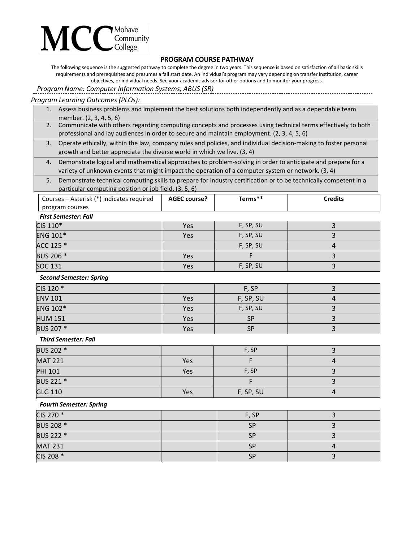# Mohave<br>Community<br>College

## **PROGRAM COURSE PATHWAY**

The following sequence is the suggested pathway to complete the degree in two years. This sequence is based on satisfaction of all basic skills requirements and prerequisites and presumes a fall start date. An individual's program may vary depending on transfer institution, career objectives, or individual needs. See your academic advisor for other options and to monitor your progress.

*Program Name: Computer Information Systems, ABUS (SR)*

## *Program Learning Outcomes (PLOs):*

|    | 1. Assess business problems and implement the best solutions both independently and as a dependable team         |
|----|------------------------------------------------------------------------------------------------------------------|
|    | member. (2, 3, 4, 5, 6)                                                                                          |
|    | 2. Communicate with others regarding computing concepts and processes using technical terms effectively to both  |
|    | professional and lay audiences in order to secure and maintain employment. (2, 3, 4, 5, 6)                       |
| 3. | Operate ethically, within the law, company rules and policies, and individual decision-making to foster personal |
|    | growth and better appreciate the diverse world in which we live. (3, 4)                                          |
| 4. | Demonstrate logical and mathematical approaches to problem-solving in order to anticipate and prepare for a      |
|    | variety of unknown events that might impact the operation of a computer system or network. (3, 4)                |
| 5. | Demonstrate technical computing skills to prepare for industry certification or to be technically competent in a |
|    |                                                                                                                  |

particular computing position or job field. (3, 5, 6)

| Courses – Asterisk (*) indicates required | <b>AGEC course?</b> | ferms** | Credits |  |  |
|-------------------------------------------|---------------------|---------|---------|--|--|
| program courses                           |                     |         |         |  |  |
| Eiret Competer: Eall                      |                     |         |         |  |  |

#### *First Semester: Fall*

| CIS 110*        | Yes | F, SP, SU |  |
|-----------------|-----|-----------|--|
| <b>ENG 101*</b> | Yes | F, SP, SU |  |
| ACC 125 *       |     | F, SP, SU |  |
| BUS 206 *       | Yes |           |  |
| <b>SOC 131</b>  | Yes | F, SP, SU |  |

### *Second Semester: Spring*

| CIS 120 *       |     | F, SP     |  |
|-----------------|-----|-----------|--|
| <b>ENV 101</b>  | Yes | F, SP, SU |  |
| <b>ENG 102*</b> | Yes | F, SP, SU |  |
| <b>HUM 151</b>  | Yes | <b>SP</b> |  |
| BUS 207 *       | Yes | <b>SP</b> |  |

### *Third Semester: Fall*

| BUS 202 *      |     | F, SP     |  |
|----------------|-----|-----------|--|
| <b>MAT 221</b> | Yes |           |  |
| <b>PHI 101</b> | Yes | F, SP     |  |
| BUS 221 *      |     |           |  |
| <b>GLG 110</b> | Yes | F, SP, SU |  |

### *Fourth Semester: Spring*

| CIS 270 *      | F, SP     |  |
|----------------|-----------|--|
| BUS 208 *      | <b>SP</b> |  |
| BUS 222 *      | <b>SP</b> |  |
| <b>MAT 231</b> | <b>SP</b> |  |
| CIS 208 *      | <b>SP</b> |  |